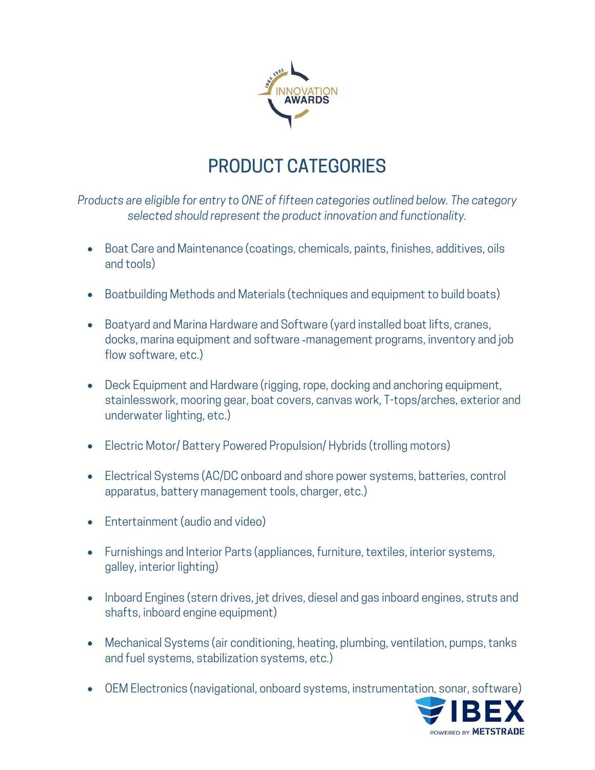

## PRODUCT CATEGORIES

*Products are eligible for entry to ONE of fifteen categories outlined below. The category selected should represent the product innovation and functionality.*

- Boat Care and Maintenance (coatings, chemicals, paints, finishes, additives, oils and tools)
- Boatbuilding Methods and Materials (techniques and equipment to build boats)
- Boatyard and Marina Hardware and Software (yard installed boat lifts, cranes, docks, marina equipment and software ‐management programs, inventory and job flow software, etc.)
- Deck Equipment and Hardware (rigging, rope, docking and anchoring equipment, stainlesswork, mooring gear, boat covers, canvas work, T-tops/arches, exterior and underwater lighting, etc.)
- Electric Motor/Battery Powered Propulsion/Hybrids (trolling motors)
- Electrical Systems (AC/DC onboard and shore power systems, batteries, control apparatus, battery management tools, charger, etc.)
- Entertainment (audio and video)
- Furnishings and Interior Parts (appliances, furniture, textiles, interior systems, galley, interior lighting)
- Inboard Engines (stern drives, jet drives, diesel and gas inboard engines, struts and shafts, inboard engine equipment)
- Mechanical Systems (air conditioning, heating, plumbing, ventilation, pumps, tanks and fuel systems, stabilization systems, etc.)
- OEM Electronics (navigational, onboard systems, instrumentation, sonar, software)